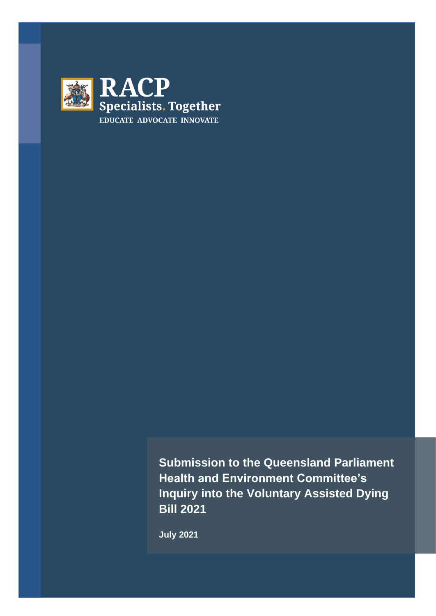

**Submission to the Queensland Parliament Health and Environment Committee's Inquiry into the Voluntary Assisted Dying Bill 2021**

**July 2021**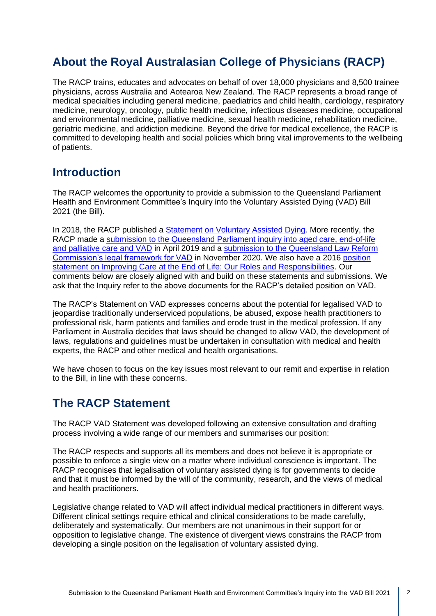# **About the Royal Australasian College of Physicians (RACP)**

The RACP trains, educates and advocates on behalf of over 18,000 physicians and 8,500 trainee physicians, across Australia and Aotearoa New Zealand. The RACP represents a broad range of medical specialties including general medicine, paediatrics and child health, cardiology, respiratory medicine, neurology, oncology, public health medicine, infectious diseases medicine, occupational and environmental medicine, palliative medicine, sexual health medicine, rehabilitation medicine, geriatric medicine, and addiction medicine. Beyond the drive for medical excellence, the RACP is committed to developing health and social policies which bring vital improvements to the wellbeing of patients.

#### **Introduction**

The RACP welcomes the opportunity to provide a submission to the Queensland Parliament Health and Environment Committee's Inquiry into the Voluntary Assisted Dying (VAD) Bill 2021 (the Bill).

In 2018, the RACP published a [Statement on Voluntary Assisted Dying.](https://www.racp.edu.au/docs/default-source/advocacy-library/racp-voluntary-assisted-dying-statement-november-2018.pdf?sfvrsn=761d121a_4) More recently, the RACP made a submission to the Queensland Parliament inquiry into aged care, end-of-life [and palliative care and VAD](https://www.racp.edu.au/docs/default-source/advocacy-library/submission-to-the-qld-parliamentary-inquiry-into-aged-care-end-of-life-and-palliative-care-and-voluntary-assisted-dying.pdf?sfvrsn=d76181a_6) in April 2019 and a [submission to the Queensland Law Reform](https://www.racp.edu.au/docs/default-source/advocacy-library/e-20-nov-qld-vad-draft-racp-submission_egm-approved.pdf?sfvrsn=7e97f91a_4)  [Commission's legal framework for VAD](https://www.racp.edu.au/docs/default-source/advocacy-library/e-20-nov-qld-vad-draft-racp-submission_egm-approved.pdf?sfvrsn=7e97f91a_4) in November 2020. We also have a 2016 [position](https://www.racp.edu.au/docs/default-source/advocacy-library/pa-pos-end-of-life-position-statement.pdf?sfvrsn=14ce321a_6)  [statement on Improving Care at the End of Life: Our Roles and Responsibilities.](https://www.racp.edu.au/docs/default-source/advocacy-library/pa-pos-end-of-life-position-statement.pdf?sfvrsn=14ce321a_6) Our comments below are closely aligned with and build on these statements and submissions. We ask that the Inquiry refer to the above documents for the RACP's detailed position on VAD.

The RACP's Statement on VAD expresses concerns about the potential for legalised VAD to jeopardise traditionally underserviced populations, be abused, expose health practitioners to professional risk, harm patients and families and erode trust in the medical profession. If any Parliament in Australia decides that laws should be changed to allow VAD, the development of laws, regulations and guidelines must be undertaken in consultation with medical and health experts, the RACP and other medical and health organisations.

We have chosen to focus on the key issues most relevant to our remit and expertise in relation to the Bill, in line with these concerns.

### **The RACP Statement**

The RACP VAD Statement was developed following an extensive consultation and drafting process involving a wide range of our members and summarises our position:

The RACP respects and supports all its members and does not believe it is appropriate or possible to enforce a single view on a matter where individual conscience is important. The RACP recognises that legalisation of voluntary assisted dying is for governments to decide and that it must be informed by the will of the community, research, and the views of medical and health practitioners.

Legislative change related to VAD will affect individual medical practitioners in different ways. Different clinical settings require ethical and clinical considerations to be made carefully, deliberately and systematically. Our members are not unanimous in their support for or opposition to legislative change. The existence of divergent views constrains the RACP from developing a single position on the legalisation of voluntary assisted dying.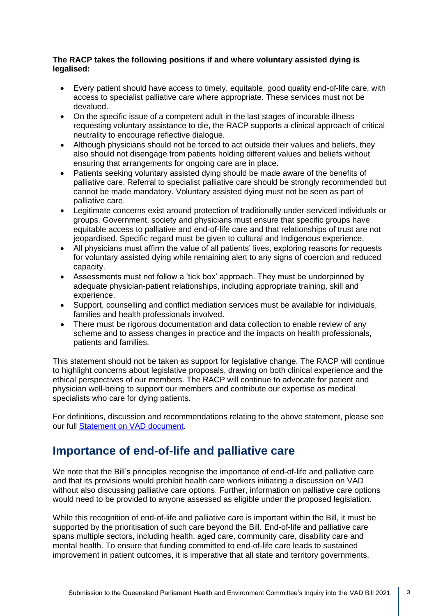#### **The RACP takes the following positions if and where voluntary assisted dying is legalised:**

- Every patient should have access to timely, equitable, good quality end-of-life care, with access to specialist palliative care where appropriate. These services must not be devalued.
- On the specific issue of a competent adult in the last stages of incurable illness requesting voluntary assistance to die, the RACP supports a clinical approach of critical neutrality to encourage reflective dialogue.
- Although physicians should not be forced to act outside their values and beliefs, they also should not disengage from patients holding different values and beliefs without ensuring that arrangements for ongoing care are in place.
- Patients seeking voluntary assisted dying should be made aware of the benefits of palliative care. Referral to specialist palliative care should be strongly recommended but cannot be made mandatory. Voluntary assisted dying must not be seen as part of palliative care.
- Legitimate concerns exist around protection of traditionally under-serviced individuals or groups. Government, society and physicians must ensure that specific groups have equitable access to palliative and end-of-life care and that relationships of trust are not jeopardised. Specific regard must be given to cultural and Indigenous experience.
- All physicians must affirm the value of all patients' lives, exploring reasons for requests for voluntary assisted dying while remaining alert to any signs of coercion and reduced capacity.
- Assessments must not follow a 'tick box' approach. They must be underpinned by adequate physician-patient relationships, including appropriate training, skill and experience.
- Support, counselling and conflict mediation services must be available for individuals, families and health professionals involved.
- There must be rigorous documentation and data collection to enable review of any scheme and to assess changes in practice and the impacts on health professionals, patients and families.

This statement should not be taken as support for legislative change. The RACP will continue to highlight concerns about legislative proposals, drawing on both clinical experience and the ethical perspectives of our members. The RACP will continue to advocate for patient and physician well-being to support our members and contribute our expertise as medical specialists who care for dying patients.

For definitions, discussion and recommendations relating to the above statement, please see our full [Statement on VAD document.](https://www.racp.edu.au/docs/default-source/advocacy-library/racp-voluntary-assisted-dying-statement-november-2018.pdf?sfvrsn=761d121a_4)

### **Importance of end-of-life and palliative care**

We note that the Bill's principles recognise the importance of end-of-life and palliative care and that its provisions would prohibit health care workers initiating a discussion on VAD without also discussing palliative care options. Further, information on palliative care options would need to be provided to anyone assessed as eligible under the proposed legislation.

While this recognition of end-of-life and palliative care is important within the Bill, it must be supported by the prioritisation of such care beyond the Bill. End-of-life and palliative care spans multiple sectors, including health, aged care, community care, disability care and mental health. To ensure that funding committed to end-of-life care leads to sustained improvement in patient outcomes, it is imperative that all state and territory governments,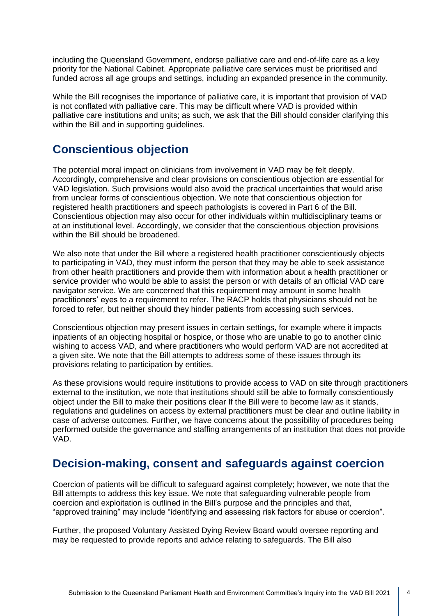including the Queensland Government, endorse palliative care and end-of-life care as a key priority for the National Cabinet. Appropriate palliative care services must be prioritised and funded across all age groups and settings, including an expanded presence in the community.

While the Bill recognises the importance of palliative care, it is important that provision of VAD is not conflated with palliative care. This may be difficult where VAD is provided within palliative care institutions and units; as such, we ask that the Bill should consider clarifying this within the Bill and in supporting guidelines.

## **Conscientious objection**

The potential moral impact on clinicians from involvement in VAD may be felt deeply. Accordingly, comprehensive and clear provisions on conscientious objection are essential for VAD legislation. Such provisions would also avoid the practical uncertainties that would arise from unclear forms of conscientious objection. We note that conscientious objection for registered health practitioners and speech pathologists is covered in Part 6 of the Bill. Conscientious objection may also occur for other individuals within multidisciplinary teams or at an institutional level. Accordingly, we consider that the conscientious objection provisions within the Bill should be broadened.

We also note that under the Bill where a registered health practitioner conscientiously objects to participating in VAD, they must inform the person that they may be able to seek assistance from other health practitioners and provide them with information about a health practitioner or service provider who would be able to assist the person or with details of an official VAD care navigator service. We are concerned that this requirement may amount in some health practitioners' eyes to a requirement to refer. The RACP holds that physicians should not be forced to refer, but neither should they hinder patients from accessing such services.

Conscientious objection may present issues in certain settings, for example where it impacts inpatients of an objecting hospital or hospice, or those who are unable to go to another clinic wishing to access VAD, and where practitioners who would perform VAD are not accredited at a given site. We note that the Bill attempts to address some of these issues through its provisions relating to participation by entities.

As these provisions would require institutions to provide access to VAD on site through practitioners external to the institution, we note that institutions should still be able to formally conscientiously object under the Bill to make their positions clear If the Bill were to become law as it stands, regulations and guidelines on access by external practitioners must be clear and outline liability in case of adverse outcomes. Further, we have concerns about the possibility of procedures being performed outside the governance and staffing arrangements of an institution that does not provide VAD.

### **Decision-making, consent and safeguards against coercion**

Coercion of patients will be difficult to safeguard against completely; however, we note that the Bill attempts to address this key issue. We note that safeguarding vulnerable people from coercion and exploitation is outlined in the Bill's purpose and the principles and that, "approved training" may include "identifying and assessing risk factors for abuse or coercion".

Further, the proposed Voluntary Assisted Dying Review Board would oversee reporting and may be requested to provide reports and advice relating to safeguards. The Bill also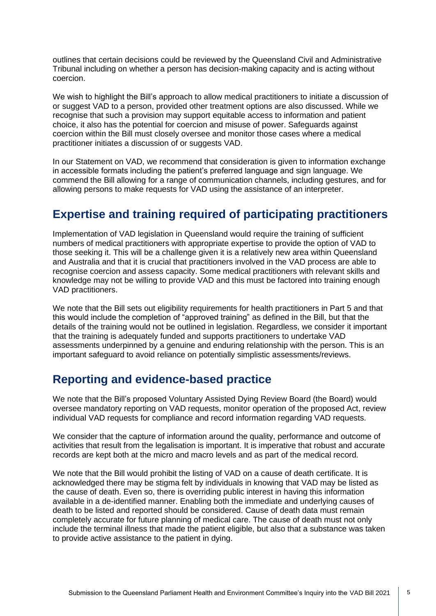outlines that certain decisions could be reviewed by the Queensland Civil and Administrative Tribunal including on whether a person has decision-making capacity and is acting without coercion.

We wish to highlight the Bill's approach to allow medical practitioners to initiate a discussion of or suggest VAD to a person, provided other treatment options are also discussed. While we recognise that such a provision may support equitable access to information and patient choice, it also has the potential for coercion and misuse of power. Safeguards against coercion within the Bill must closely oversee and monitor those cases where a medical practitioner initiates a discussion of or suggests VAD.

In our Statement on VAD, we recommend that consideration is given to information exchange in accessible formats including the patient's preferred language and sign language. We commend the Bill allowing for a range of communication channels, including gestures, and for allowing persons to make requests for VAD using the assistance of an interpreter.

# **Expertise and training required of participating practitioners**

Implementation of VAD legislation in Queensland would require the training of sufficient numbers of medical practitioners with appropriate expertise to provide the option of VAD to those seeking it. This will be a challenge given it is a relatively new area within Queensland and Australia and that it is crucial that practitioners involved in the VAD process are able to recognise coercion and assess capacity. Some medical practitioners with relevant skills and knowledge may not be willing to provide VAD and this must be factored into training enough VAD practitioners.

We note that the Bill sets out eligibility requirements for health practitioners in Part 5 and that this would include the completion of "approved training" as defined in the Bill, but that the details of the training would not be outlined in legislation. Regardless, we consider it important that the training is adequately funded and supports practitioners to undertake VAD assessments underpinned by a genuine and enduring relationship with the person. This is an important safeguard to avoid reliance on potentially simplistic assessments/reviews.

## **Reporting and evidence-based practice**

We note that the Bill's proposed Voluntary Assisted Dying Review Board (the Board) would oversee mandatory reporting on VAD requests, monitor operation of the proposed Act, review individual VAD requests for compliance and record information regarding VAD requests.

We consider that the capture of information around the quality, performance and outcome of activities that result from the legalisation is important. It is imperative that robust and accurate records are kept both at the micro and macro levels and as part of the medical record.

We note that the Bill would prohibit the listing of VAD on a cause of death certificate. It is acknowledged there may be stigma felt by individuals in knowing that VAD may be listed as the cause of death. Even so, there is overriding public interest in having this information available in a de-identified manner. Enabling both the immediate and underlying causes of death to be listed and reported should be considered. Cause of death data must remain completely accurate for future planning of medical care. The cause of death must not only include the terminal illness that made the patient eligible, but also that a substance was taken to provide active assistance to the patient in dying.